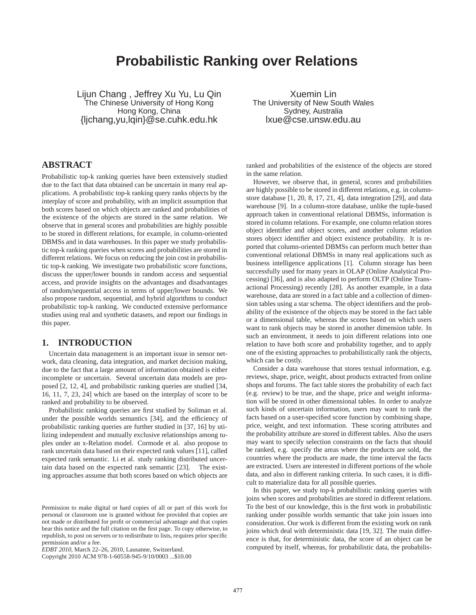# **Probabilistic Ranking over Relations**

Lijun Chang , Jeffrey Xu Yu, Lu Qin The Chinese University of Hong Kong Hong Kong, China {ljchang,yu,lqin}@se.cuhk.edu.hk

Xuemin Lin The University of New South Wales Sydney, Australia lxue@cse.unsw.edu.au

# **ABSTRACT**

Probabilistic top-k ranking queries have been extensively studied due to the fact that data obtained can be uncertain in many real applications. A probabilistic top-k ranking query ranks objects by the interplay of score and probability, with an implicit assumption that both scores based on which objects are ranked and probabilities of the existence of the objects are stored in the same relation. We observe that in general scores and probabilities are highly possible to be stored in different relations, for example, in column-oriented DBMSs and in data warehouses. In this paper we study probabilistic top-k ranking queries when scores and probabilities are stored in different relations. We focus on reducing the join cost in probabilistic top-k ranking. We investigate two probabilistic score functions, discuss the upper/lower bounds in random access and sequential access, and provide insights on the advantages and disadvantages of random/sequential access in terms of upper/lower bounds. We also propose random, sequential, and hybrid algorithms to conduct probabilistic top-k ranking. We conducted extensive performance studies using real and synthetic datasets, and report our findings in this paper.

# **1. INTRODUCTION**

Uncertain data management is an important issue in sensor network, data cleaning, data integration, and market decision making, due to the fact that a large amount of information obtained is either incomplete or uncertain. Several uncertain data models are proposed [2, 12, 4], and probabilistic ranking queries are studied [34, 16, 11, 7, 23, 24] which are based on the interplay of score to be ranked and probability to be observed.

Probabilistic ranking queries are first studied by Soliman et al. under the possible worlds semantics [34], and the efficiency of probabilistic ranking queries are further studied in [37, 16] by utilizing independent and mutually exclusive relationships among tuples under an x-Relation model. Cormode et al. also propose to rank uncertain data based on their expected rank values [11], called expected rank semantic. Li et al. study ranking distributed uncertain data based on the expected rank semantic [23]. The existing approaches assume that both scores based on which objects are

ranked and probabilities of the existence of the objects are stored in the same relation.

However, we observe that, in general, scores and probabilities are highly possible to be stored in different relations, e.g. in columnstore database [1, 20, 8, 17, 21, 4], data integration [29], and data warehouse [9]. In a column-store database, unlike the tuple-based approach taken in conventional relational DBMSs, information is stored in column relations. For example, one column relation stores object identifier and object scores, and another column relation stores object identifier and object existence probability. It is reported that column-oriented DBMSs can perform much better than conventional relational DBMSs in many real applications such as business intelligence applications [1]. Column storage has been successfully used for many years in OLAP (Online Analytical Processing) [36], and is also adapted to perform OLTP (Online Transactional Processing) recently [28]. As another example, in a data warehouse, data are stored in a fact table and a collection of dimension tables using a star schema. The object identifiers and the probability of the existence of the objects may be stored in the fact table or a dimensional table, whereas the scores based on which users want to rank objects may be stored in another dimension table. In such an environment, it needs to join different relations into one relation to have both score and probability together, and to apply one of the existing approaches to probabilistically rank the objects, which can be costly.

Consider a data warehouse that stores textual information, e.g. reviews, shape, price, weight, about products extracted from online shops and forums. The fact table stores the probability of each fact (e.g. review) to be true, and the shape, price and weight information will be stored in other dimensional tables. In order to analyze such kinds of uncertain information, users may want to rank the facts based on a user-specified score function by combining shape, price, weight, and text information. These scoring attributes and the probability attribute are stored in different tables. Also the users may want to specify selection constraints on the facts that should be ranked, e.g. specify the areas where the products are sold, the countries where the products are made, the time interval the facts are extracted. Users are interested in different portions of the whole data, and also in different ranking criteria. In such cases, it is difficult to materialize data for all possible queries.

In this paper, we study top-k probabilistic ranking queries with joins when scores and probabilities are stored in different relations. To the best of our knowledge, this is the first work in probabilistic ranking under possible worlds semantic that take join issues into consideration. Our work is different from the existing work on rank joins which deal with deterministic data [19, 32]. The main difference is that, for deterministic data, the score of an object can be computed by itself, whereas, for probabilistic data, the probabilis-

Permission to make digital or hard copies of all or part of this work for personal or classroom use is granted without fee provided that copies are not made or distributed for profit or commercial advantage and that copies bear this notice and the full citation on the first page. To copy otherwise, to republish, to post on servers or to redistribute to lists, requires prior specific permission and/or a fee.

*EDBT 2010*, March 22–26, 2010, Lausanne, Switzerland.

Copyright 2010 ACM 978-1-60558-945-9/10/0003 ...\$10.00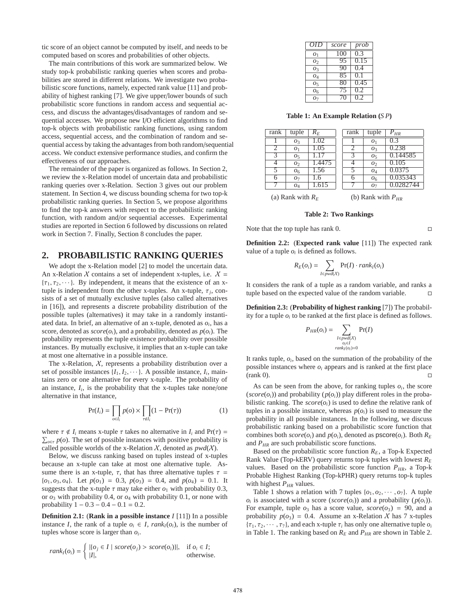tic score of an object cannot be computed by itself, and needs to be computed based on scores and probabilities of other objects.

The main contributions of this work are summarized below. We study top-k probabilistic ranking queries when scores and probabilities are stored in different relations. We investigate two probabilistic score functions, namely, expected rank value [11] and probability of highest ranking [7]. We give upper/lower bounds of such probabilistic score functions in random access and sequential access, and discuss the advantages/disadvantages of random and sequential accesses. We propose new I/O efficient algorithms to find top-k objects with probabilistic ranking functions, using random access, sequential access, and the combination of random and sequential access by taking the advantages from both random/sequential access. We conduct extensive performance studies, and confirm the effectiveness of our approaches.

The remainder of the paper is organized as follows. In Section 2, we review the x-Relation model of uncertain data and probabilistic ranking queries over x-Relation. Section 3 gives out our problem statement. In Section 4, we discuss bounding schema for two top-k probabilistic ranking queries. In Section 5, we propose algorithms to find the top-k answers with respect to the probabilistic ranking function, with random and/or sequential accesses. Experimental studies are reported in Section 6 followed by discussions on related work in Section 7. Finally, Section 8 concludes the paper.

# **2. PROBABILISTIC RANKING QUERIES**

We adopt the x-Relation model [2] to model the uncertain data. An x-Relation X contains a set of independent x-tuples, i.e.  $X =$  ${\tau_1, \tau_2, \cdots}$ . By independent, it means that the existence of an xtuple is independent from the other x-tuples. An x-tuple,  $\tau_j$ , consists of a set of mutually exclusive tuples (also called alternatives in [16]), and represents a discrete probability distribution of the possible tuples (alternatives) it may take in a randomly instantiated data. In brief, an alternative of an x-tuple, denoted as *o<sup>i</sup>* , has a score, denoted as  $score(o_i)$ , and a probability, denoted as  $p(o_i)$ . The probability represents the tuple existence probability over possible instances. By mutually exclusive, it implies that an x-tuple can take at most one alternative in a possible instance.

The x-Relation,  $X$ , represents a probability distribution over a set of possible instances  $\{I_1, I_2, \cdots\}$ . A possible instance,  $I_i$ , maintains zero or one alternative for every x-tuple. The probability of an instance,  $I_i$ , is the probability that the x-tuples take none/one alternative in that instance,

$$
\Pr(I_i) = \prod_{o \in I_i} p(o) \times \prod_{\tau \notin I_i} (1 - \Pr(\tau)) \tag{1}
$$

where  $\tau \notin I_i$  means x-tuple  $\tau$  takes no alternative in  $I_i$  and  $Pr(\tau) =$  $\sum_{\varrho \in \tau} p(\varrho)$ . The set of possible instances with positive probability is called possible worlds of the x-Relation  $X$ , denoted as  $pwd(X)$ .

Below, we discuss ranking based on tuples instead of x-tuples because an x-tuple can take at most one alternative tuple. Assume there is an x-tuple,  $\tau$ , that has three alternative tuples  $\tau$  =  ${o_1, o_3, o_4}$ . Let  $p(o_1) = 0.3$ ,  $p(o_3) = 0.4$ , and  $p(o_4) = 0.1$ . It suggests that the x-tuple  $\tau$  may take either  $o_1$  with probability 0.3, or *o*<sup>3</sup> with probability 0.4, or *o*<sup>4</sup> with probability 0.1, or none with probability  $1 - 0.3 - 0.4 - 0.1 = 0.2$ .

**Definition 2.1:** (**Rank in a possible instance** *I* [11]) In a possible instance *I*, the rank of a tuple  $o_i \in I$ ,  $rank_I(o_i)$ , is the number of tuples whose score is larger than *o<sup>i</sup>* .

$$
rank_I(o_i) = \begin{cases} |\{o_j \in I \mid score(o_j) > score(o_i)\}|, & \text{if } o_i \in I; \\ |I|, & \text{otherwise.} \end{cases}
$$

| OID               | score | prob              |
|-------------------|-------|-------------------|
| O <sub>1</sub>    | 100   | 0.3               |
| 02                | 95    | $0.\overline{15}$ |
| 03                | 90    | 0.4               |
| $O_4$             | 85    | 0.1               |
| 05                | 80    | 0.45              |
| 06                | 75    | $0.\overline{2}$  |
| $O_{\mathcal{D}}$ | 70    | 0.2               |

**Table 1: An Example Relation (***S P***)**

| rank | tuple          | $R_F$  | rank | tuple          | $P_{HR}$  |
|------|----------------|--------|------|----------------|-----------|
|      | $O_3$          | 1.02   |      | O <sub>1</sub> | 0.3       |
|      | O <sub>1</sub> | 1.05   |      | $O_3$          | 0.238     |
| 3    | O <sub>5</sub> | 1.17   |      | O <sub>5</sub> | 0.144585  |
|      | O <sub>2</sub> | 1.4475 |      | O <sub>2</sub> | 0.105     |
|      | O <sub>6</sub> | 1.56   |      | $O_4$          | 0.0375    |
|      | O <sub>7</sub> | L.6    |      | O <sub>6</sub> | 0.035343  |
|      | O <sub>4</sub> | 1.615  |      | O <sub>7</sub> | 0.0282744 |
|      | .              |        |      | .              |           |

(a) Rank with  $R_E$ 

(b) Rank with  $P_{HR}$ 

**Table 2: Two Rankings**

Note that the top tuple has rank 0.

**Definition 2.2:** (**Expected rank value** [11]) The expected rank value of a tuple  $o_i$  is defined as follows.

$$
R_E(o_i) = \sum_{I \in pwd(X)} Pr(I) \cdot rank_I(o_i)
$$

It considers the rank of a tuple as a random variable, and ranks a tuple based on the expected value of the random variable.

**Definition 2.3:** (**Probability of highest ranking** [7]) The probability for a tuple  $o_i$  to be ranked at the first place is defined as follows.

$$
P_{HR}(o_i) = \sum_{\substack{I \in pwd(X) \\ o_i \in I \\ rank_I(o_i) = 0}} Pr(I)
$$

It ranks tuple,  $o_i$ , based on the summation of the probability of the possible instances where  $o_i$  appears and is ranked at the first place  $(\text{rank } 0).$ 

As can be seen from the above, for ranking tuples  $o_i$ , the score  $(score(o_i))$  and probability  $(p(o_i))$  play different roles in the probabilistic ranking. The  $score(o_i)$  is used to define the relative rank of tuples in a possible instance, whereas  $p(o_i)$  is used to measure the probability in all possible instances. In the following, we discuss probabilistic ranking based on a probabilistic score function that combines both  $score(o_i)$  and  $p(o_i)$ , denoted as  $pscore(o_i)$ . Both  $R_E$ and *PHR* are such probabilistic score functions.

Based on the probabilistic score function *RE*, a Top-k Expected Rank Value (Top-kERV) query returns top-k tuples with lowest *R<sup>E</sup>* values. Based on the probabilistic score function  $P_{HR}$ , a Top-k Probable Highest Ranking (Top-kPHR) query returns top-k tuples with highest  $P_{HR}$  values.

Table 1 shows a relation with 7 tuples  $\{o_1, o_2, \dots, o_7\}$ . A tuple  $o_i$  is associated with a score (*score*( $o_i$ )) and a probability ( $p(o_i)$ ). For example, tuple  $o_3$  has a score value,  $score(o_3) = 90$ , and a probability  $p(o_3) = 0.4$ . Assume an x-Relation X has 7 x-tuples  ${\tau_1, \tau_2, \cdots, \tau_7}$ , and each x-tuple  $\tau_i$  has only one alternative tuple  $o_i$ in Table 1. The ranking based on  $R_E$  and  $P_{HR}$  are shown in Table 2.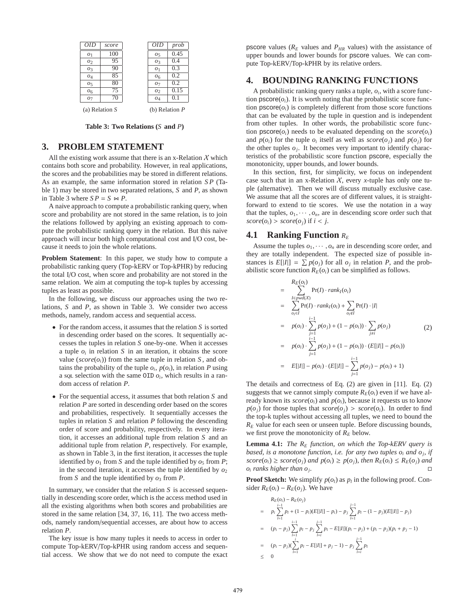

**Table 3: Two Relations (***S* **and** *P***)**

# **3. PROBLEM STATEMENT**

All the existing work assume that there is an x-Relation  $\chi$  which contains both score and probability. However, in real applications, the scores and the probabilities may be stored in different relations. As an example, the same information stored in relation *S P* (Table 1) may be stored in two separated relations, *S* and *P*, as shown in Table 3 where  $SP = S \Join P$ .

A naive approach to compute a probabilistic ranking query, when score and probability are not stored in the same relation, is to join the relations followed by applying an existing approach to compute the probabilistic ranking query in the relation. But this naive approach will incur both high computational cost and I/O cost, because it needs to join the whole relations.

**Problem Statement**: In this paper, we study how to compute a probabilistic ranking query (Top-kERV or Top-kPHR) by reducing the total I/O cost, when score and probability are not stored in the same relation. We aim at computing the top-k tuples by accessing tuples as least as possible.

In the following, we discuss our approaches using the two relations, *S* and *P*, as shown in Table 3. We consider two access methods, namely, random access and sequential access.

- For the random access, it assumes that the relation *S* is sorted in descending order based on the scores. It sequentially accesses the tuples in relation *S* one-by-one. When it accesses a tuple  $o_i$  in relation  $S$  in an iteration, it obtains the score value ( $score(o_i)$ ) from the same tuple in relation *S*, and obtains the probability of the tuple  $o_i$ ,  $p(o_i)$ , in relation *P* using a so *selection* with the same OID  $o_i$ , which results in a random access of relation *P*.
- For the sequential access, it assumes that both relation *S* and relation *P* are sorted in descending order based on the scores and probabilities, respectively. It sequentially accesses the tuples in relation *S* and relation *P* following the descending order of score and probability, respectively. In every iteration, it accesses an additional tuple from relation *S* and an additional tuple from relation *P*, respectively. For example, as shown in Table 3, in the first iteration, it accesses the tuple identified by  $o_1$  from *S* and the tuple identified by  $o_5$  from *P*; in the second iteration, it accesses the tuple identified by  $o_2$ from *S* and the tuple identified by  $o_3$  from *P*.

In summary, we consider that the relation *S* is accessed sequentially in descending score order, which is the access method used in all the existing algorithms when both scores and probabilities are stored in the same relation [34, 37, 16, 11]. The two access methods, namely random/sequential accesses, are about how to access relation *P*.

The key issue is how many tuples it needs to access in order to compute Top-kERV/Top-kPHR using random access and sequential access. We show that we do not need to compute the exact pscore values ( $R_E$  values and  $P_{HR}$  values) with the assistance of upper bounds and lower bounds for pscore values. We can compute Top-kERV/Top-kPHR by its relative orders.

# **4. BOUNDING RANKING FUNCTIONS**

A probabilistic ranking query ranks a tuple, *o<sup>i</sup>* , with a score function  $\text{pscore}(o_i)$ . It is worth noting that the probabilistic score function  $\text{pscore}(o_i)$  is completely different from those score functions that can be evaluated by the tuple in question and is independent from other tuples. In other words, the probabilistic score function  $\text{pscore}(o_i)$  needs to be evaluated depending on the  $\text{score}(o_i)$ and  $p(o_i)$  for the tuple  $o_i$  itself as well as  $score(o_j)$  and  $p(o_j)$  for the other tuples  $o_j$ . It becomes very important to identify characteristics of the probabilistic score function pscore, especially the monotonicity, upper bounds, and lower bounds.

In this section, first, for simplicity, we focus on independent case such that in an x-Relation  $X$ , every *x*-tuple has only one tuple (alternative). Then we will discuss mutually exclusive case. We assume that all the scores are of different values, it is straightforward to extend to tie scores. We use the notation in a way that the tuples,  $o_1, \dots, o_n$ , are in descending score order such that  $score(o_i) > score(o_j)$  if  $i < j$ .

# **4.1 Ranking Function**  $R_E$

Assume the tuples  $o_1, \dots, o_n$  are in descending score order, and they are totally independent. The expected size of possible instances is  $E[|I|] = \sum p(o_j)$  for all  $o_j$  in relation *P*, and the probabilistic score function  $R_E(o_i)$  can be simplified as follows.

$$
= \sum_{\substack{I \in pwd(X) \\ o_i \in I}} Pr(I) \cdot rank_I(o_i)
$$
  
\n
$$
= \sum_{o_i \in I} Pr(I) \cdot rank_I(o_i) + \sum_{o_i \notin I} Pr(I) \cdot |I|
$$
  
\n
$$
= p(o_i) \cdot \sum_{\substack{j=1 \\ j \neq i}}^{i-1} p(o_j) + (1 - p(o_i)) \cdot \sum_{\substack{j \neq i \\ j \neq i}} p(o_j)
$$
  
\n
$$
= p(o_i) \cdot \sum_{\substack{j=1 \\ j \neq i}}^{i-1} p(o_j) + (1 - p(o_i)) \cdot (E[|I|] - p(o_i))
$$
  
\n
$$
= E[|I|] - p(o_i) \cdot (E[|I|] - \sum_{j=1}^{i-1} p(o_j) - p(o_i) + 1)
$$

The details and correctness of Eq. (2) are given in [11]. Eq. (2) suggests that we cannot simply compute  $R_E(o_i)$  even if we have already known its  $score(o_i)$  and  $p(o_i)$ , because it requests us to know  $p(o_i)$  for those tuples that  $score(o_i) > score(o_i)$ . In order to find the top-k tuples without accessing all tuples, we need to bound the  $R<sub>E</sub>$  value for each seen or unseen tuple. Before discussing bounds, we first prove the monotonicity of  $R<sub>E</sub>$  below.

**Lemma 4.1:** *The R<sup>E</sup> function, on which the Top-kERV query is based, is a monotone function, i.e. for any two tuples o<sup>i</sup> and o<sup>j</sup> , if*  $score(o_i) \geq score(o_j)$  *and*  $p(o_i) \geq p(o_j)$ *, then*  $R_E(o_i) \leq R_E(o_j)$  *and*  $o_i$  *ranks higher than*  $o_j$ *. .*

**Proof Sketch:** We simplify  $p(o_l)$  as  $p_l$  in the following proof. Consider  $R_E(o_i) - R_E(o_i)$ . We have

$$
R_E(o_i) - R_E(o_j)
$$
\n
$$
= p_i \sum_{l=1}^{i-1} p_l + (1 - p_i)(E[|I|] - p_i) - p_j \sum_{l=1}^{j-1} p_l - (1 - p_j)(E[|I|] - p_j)
$$
\n
$$
= (p_i - p_j) \sum_{l=1}^{i-1} p_l - p_j \sum_{l=i}^{j-1} p_l - E[|I|](p_i - p_j) + (p_i - p_j)(p_i + p_j - 1)
$$
\n
$$
= (p_i - p_j)(\sum_{l=1}^{i} p_l - E[|I|] + p_j - 1) - p_j \sum_{l=i}^{j-1} p_l
$$
\n
$$
\leq 0
$$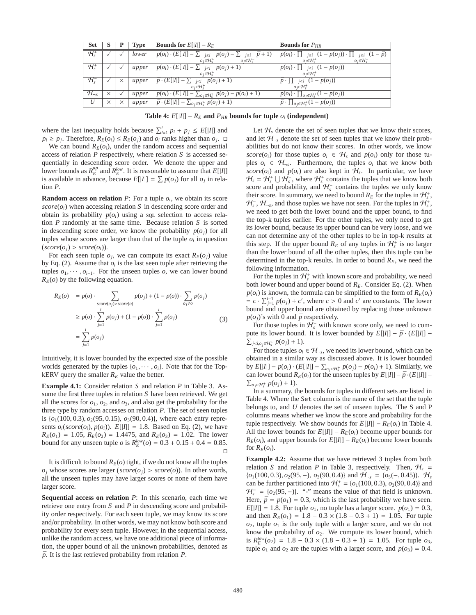| <b>Set</b>                                  | D.       |          | Type  | <b>Bounds for</b> $E[ I ] - R_E$                                                        | <b>Bounds for </b> $P_{HR}$                                                            |
|---------------------------------------------|----------|----------|-------|-----------------------------------------------------------------------------------------|----------------------------------------------------------------------------------------|
| $\overline{\mathcal{H}^+_{\rm s}}$          |          |          | lower | $p(o_i) \cdot (E[ I ] - \sum_{j \leq i} p(o_j) - \sum_{j \leq i} \bar{p} + 1)$          | $p(o_i) \cdot \prod_{j \leq i} (1 - p(o_j)) \cdot \prod_{j \leq i} (1 - \overline{p})$ |
|                                             |          |          |       | $o_i \in H_s^+$<br>$o_i \in \mathcal{H}_s^-$                                            | $o_i \in H^+$<br>$o_i \in \mathcal{H}_s^-$                                             |
| $\overline{\mathcal{H}^+_s}$                |          |          | upper | $p(o_i) \cdot (E[ I ] - \sum_{j \leq i} p(o_j) + 1)$                                    | $p(o_i) \cdot \prod_{j \leq i} (1 - p(o_j))$                                           |
|                                             |          |          |       | $o_i \in H_s^+$                                                                         | $o_i \in H_s^+$                                                                        |
| $\overline{\mathcal{H}_{\text{\tiny S}}^-}$ |          | $\times$ | upper | $\overline{p} \cdot (E[ I ] - \sum_{j \leq i} p(o_j) + 1)$                              | $\bar{p} \cdot [1]_{j \leq i} (1 - p(o_i))$                                            |
|                                             |          |          |       | $o_i \in \mathcal{H}_s^+$                                                               | $o_i \in \mathcal{H}_s^+$                                                              |
| $H_{\neg s}$                                | $\times$ |          | upper | $\overline{p(o_i)} \cdot (E[ I ] - \sum_{o_j \in \mathcal{H}_s^+} p(o_j) - p(o_i) + 1)$ | $p(o_i) \cdot \prod_{o_i \in \mathcal{H}_s^+} (1 - p(o_j))$                            |
| U                                           | $\times$ | $\times$ | upper | $\overline{\overline{p} \cdot (E[ I ] - \sum_{o_j \in \mathcal{H}^+_s} p(o_j) + 1)}$    | $\bar{p} \cdot \prod_{o_i \in \mathcal{H}_c^+} (1 - p(o_j))$                           |

**Table 4:**  $E[|I|] - R_E$  and  $P_{HR}$  bounds for tuple  $o_i$  (independent)

where the last inequality holds because  $\sum_{l=1}^{i} p_l + p_j \leq E[|I|]$  and  $p_i \geq p_j$ . Therefore,  $R_E(o_i) \leq R_E(o_j)$  and  $o_i$  ranks higher than  $o_j$ .  $\Box$ 

We can bound  $R_E(o_i)$ , under the random access and sequential access of relation *P* respectively, where relation *S* is accessed sequentially in descending score order. We denote the upper and lower bounds as  $R_E^{\mu p}$  and  $R_E^{\mu w}$ . It is reasonable to assume that  $E[|I|]$ is available in advance, because  $E[|I|] = \sum p(o_j)$  for all  $o_j$  in relation *P*.

**Random access on relation**  $P$ : For a tuple  $o_i$ , we obtain its score  $score(o_i)$  when accessing relation *S* in descending score order and obtain its probability  $p(o_i)$  using a sql selection to access relation *P* randomly at the same time. Because relation *S* is sorted in descending score order, we know the probability  $p(o_i)$  for all tuples whose scores are larger than that of the tuple  $o_i$  in question  $(*score*(*o*<sub>*i*</sub>) > *score*(*o*<sub>*i*</sub>)).$ 

For each seen tuple  $o_j$ , we can compute its exact  $R_E(o_j)$  value by Eq. (2). Assume that  $o_i$  is the last seen tuple after retrieving the tuples  $o_1, \dots, o_{i-1}$ . For the unseen tuples *o*, we can lower bound  $R_E$ ( $o$ ) by the following equation.

$$
R_E(o) = p(o) \cdot \sum_{score(o_j) > score(o)} p(o_j) + (1 - p(o)) \cdot \sum_{o_j \neq o} p(o_j)
$$
\n
$$
\geq p(o) \cdot \sum_{j=1}^{i} p(o_j) + (1 - p(o)) \cdot \sum_{j=1}^{i} p(o_j)
$$
\n
$$
= \sum_{j=1}^{i} p(o_j) \tag{3}
$$

Intuitively, it is lower bounded by the expected size of the possible worlds generated by the tuples  $\{o_1, \dots, o_i\}$ . Note that for the TopkERV query the smaller  $R_E$  value the better.

**Example 4.1:** Consider relation *S* and relation *P* in Table 3. Assume the first three tuples in relation *S* have been retrieved. We get all the scores for  $o_1$ ,  $o_2$ , and  $o_3$ , and also get the probability for the three type by random accesses on relation *P*. The set of seen tuples is  $\{o_1(100, 0.3), o_2(95, 0.15), o_3(90, 0.4)\}$ , where each entry represents  $o_i(\text{score}(o_i), p(o_i))$ .  $E[|I|] = 1.8$ . Based on Eq. (2), we have  $R_E(o_1) = 1.05$ ,  $R_E(o_2) = 1.4475$ , and  $R_E(o_3) = 1.02$ . The lower bound for any unseen tuple *o* is  $R_E^{low}(o) = 0.3 + 0.15 + 0.4 = 0.85$ .  $\Box$ 

It is difficult to bound  $R_E$ (*o*) tight, if we do not know all the tuples  $o_j$  whose scores are larger (*score*( $o_j$ ) > *score*( $o$ )). In other words, all the unseen tuples may have larger scores or none of them have larger score.

**Sequential access on relation** *P*: In this scenario, each time we retrieve one entry from *S* and *P* in descending score and probability order respectively. For each seen tuple, we may know its score and/or probability. In other words, we may not know both score and probability for every seen tuple. However, in the sequential access, unlike the random access, we have one additional piece of information, the upper bound of all the unknown probabilities, denoted as  $\bar{p}$ . It is the last retrieved probability from relation  $\bar{P}$ .

Let  $\mathcal{H}_s$  denote the set of seen tuples that we know their scores, and let  $\mathcal{H}_{\neg s}$  denote the set of seen tuples that we know their probabilities but do not know their scores. In other words, we know *score*( $o_i$ ) for those tuples  $o_i \in H_s$  and  $p(o_i)$  only for those tuples  $o_i \in H_{\neg s}$ . Furthermore, the tuples  $o_i$  that we know both *score*( $o_i$ ) and  $p(o_i)$  are also kept in  $H_s$ . In particular, we have  $H_s = H_s^+ \cup H_s^-$ , where  $H_s^+$  contains the tuples that we know both score and probability, and  $H_s^-$  contains the tuples we only know their score. In summary, we need to bound  $R_E$  for the tuples in  $\mathcal{H}_s^+$ ,  $H_s^-$ ,  $H_{\neg s}$ , and those tuples we have not seen. For the tuples in  $H_s^+$ , we need to get both the lower bound and the upper bound, to find the top-k tuples earlier. For the other tuples, we only need to get its lower bound, because its upper bound can be very loose, and we can not determine any of the other tuples to be in top-k results at this step. If the upper bound  $R_E$  of any tuples in  $H_s^+$  is no larger than the lower bound of all the other tuples, then this tuple can be determined in the top-k results. In order to bound  $R_E$ , we need the following information.

For the tuples in  $H_s^+$  with known score and probability, we need both lower bound and upper bound of  $R<sub>E</sub>$ . Consider Eq. (2). When  $p(o_i)$  is known, the formula can be simplified to the form of  $R_E(o_i)$  $= c \cdot \sum_{j=1}^{i-1} p(o_j) + c'$ , where  $c > 0$  and  $c'$  are constants. The lower bound and upper bound are obtained by replacing those unknown  $p(o_i)$ 's with 0 and  $\bar{p}$  respectively.

For those tuples in  $\mathcal{H}_s^-$  with known score only, we need to compute its lower bound. It is lower bounded by  $E[|I|] - \bar{p} \cdot (E[|I|])$  –  $\sum_{j \le i, o_j \in \mathcal{H}_s^+} p(o_j) + 1$ .

For those tuples  $o_i \in \mathcal{H}_{\neg s}$ , we need its lower bound, which can be obtained in a similar way as discussed above. It is lower bounded  $\frac{1}{2}$  by  $E[|I|] - p(o_i) \cdot (E[|I|] - \sum_{o_j \in H_s^+} p(o_j) - p(o_i) + 1)$ . Similarly, we can lower bound  $R_E(o_i)$  for the unseen tuples by  $E[|I|] - \bar{p} \cdot (E[|I|] \sum_{o_j \in \mathcal{H}_s^+} p(o_j) + 1$ .

In a summary, the bounds for tuples in different sets are listed in Table 4. Where the Set column is the name of the set that the tuple belongs to, and *U* denotes the set of unseen tuples. The S and P columns means whether we know the score and probability for the tuple respectively. We show bounds for  $E[|I|]$  −  $R_E(o_i)$  in Table 4. All the lower bounds for  $E[|I|] - R_E(o_i)$  become upper bounds for  $R_E(o_i)$ , and upper bounds for  $E[|I|] - R_E(o_i)$  become lower bounds for  $R_E(o_i)$ .

**Example 4.2:** Assume that we have retrieved 3 tuples from both relation *S* and relation *P* in Table 3, respectively. Then,  $H_s$  =  $\{o_1(100, 0.3), o_2(95, -), o_3(90, 0.4)\}\$ and  $\mathcal{H}_{\neg s} = \{o_5(-, 0.45)\}\$ .  $\mathcal{H}_s$ can be further partitioned into  $H_s^+ = \{o_1(100, 0.3), o_3(90, 0.4)\}\$ and  $H_s^- = \{o_2(95, -)\}\$ . "-" means the value of that field is unknown. Here,  $\bar{p} = p(o_1) = 0.3$ , which is the last probability we have seen.  $E[|I|] = 1.8$ . For tuple  $o_1$ , no tuple has a larger score.  $p(o_1) = 0.3$ , and then  $R_E(o_1) = 1.8 - 0.3 \times (1.8 - 0.3 + 1) = 1.05$ . For tuple  $o_2$ , tuple  $o_1$  is the only tuple with a larger score, and we do not know the probability of  $o_2$ . We compute its lower bound, which is  $R_E^{low}(o_2) = 1.8 - 0.3 \times (1.8 - 0.3 + 1) = 1.05$ . For tuple  $o_3$ , tuple  $o_1$  and  $o_2$  are the tuples with a larger score, and  $p(o_3) = 0.4$ .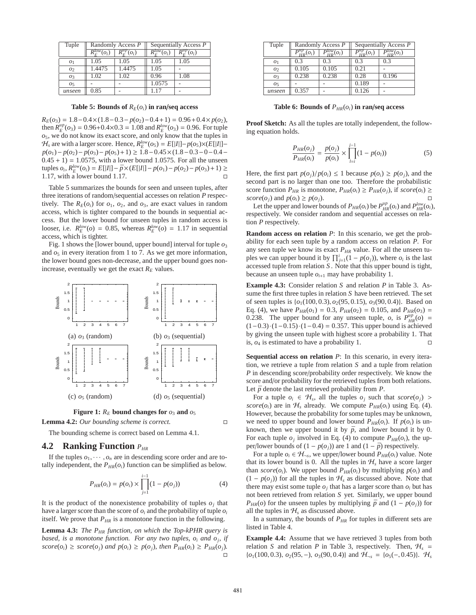| Tuple          | Randomly Access P                                |                            |                               | Sequentially Access P        |
|----------------|--------------------------------------------------|----------------------------|-------------------------------|------------------------------|
|                | $\overline{R_{\scriptscriptstyle C}^{low}(o_i)}$ | $\overline{R}^{up}_r(o_i)$ | $\overline{R^{low}_{-}(o_i)}$ | $\overline{R}_{E}^{up}(o_i)$ |
| O <sub>1</sub> | 1.05                                             | 1.05                       | 1.05                          | 1.05                         |
| O <sub>2</sub> | 1.4475                                           | 1.4475                     | 1.05                          |                              |
| O <sub>3</sub> | 1.02                                             | .02                        | 0.96                          | 1.08                         |
| O <sub>5</sub> |                                                  |                            | 1.0575                        |                              |
| unseen         | 0.85                                             |                            |                               |                              |

**Table 5: Bounds of**  $R_E(o_i)$  in ran/**seq access** 

 $R_E(o_3) = 1.8 - 0.4 \times (1.8 - 0.3 - p(o_2) - 0.4 + 1) = 0.96 + 0.4 \times p(o_2),$ then  $R_E^{up}$  ( $o_3$ ) = 0.96+0.4×0.3 = 1.08 and  $R_E^{low}$  ( $o_3$ ) = 0.96. For tuple *o*5, we do not know its exact score, and only know that the tuples in  $H_s$  are with a larger score. Hence,  $R_E^{low}(o_5) = E[|I|] - p(o_5) \times (E[|I|]$ *p*(*o*1)− *p*(*o*2)− *p*(*o*3)− *p*(*o*5)+1) ≥ 1.8−0.45×(1.8−0.3−0−0.4−  $0.45 + 1$ ) = 1.0575, with a lower bound 1.0575. For all the unseen tuples *o<sub>i</sub>*,  $R_E^{low}(o_i) = E[|I|] - \bar{p} \times (E[|I|] - p(o_1) - p(o_2) - p(o_3) + 1)$  ≥ 1.17, with a lower bound 1.17.

Table 5 summarizes the bounds for seen and unseen tuples, after three iterations of random/sequential accesses on relation *P* respectively. The  $R_E(o_i)$  for  $o_1, o_2$ , and  $o_3$ , are exact values in random access, which is tighter compared to the bounds in sequential access. But the lower bound for unseen tuples in random access is looser, i.e.  $R_E^{low}(o) = 0.85$ , whereas  $R_E^{low}(o) = 1.17$  in sequential access, which is tighter.

Fig. 1 shows the [lower bound, upper bound] interval for tuple  $o_3$ and  $o_5$  in every iteration from 1 to 7. As we get more information, the lower bound goes non-decrease, and the upper bound goes nonincrease, eventually we get the exact  $R_E$  values.





**Lemma 4.2:** *Our bounding scheme is correct.*

The bounding scheme is correct based on Lemma 4.1.

### **4.2 Ranking Function** *PHR*

If the tuples  $o_1, \dots, o_n$  are in descending score order and are totally independent, the  $P_{HR}(o_i)$  function can be simplified as below.

$$
P_{HR}(o_i) = p(o_i) \times \prod_{j=1}^{i-1} (1 - p(o_j))
$$
 (4)

It is the product of the nonexistence probability of tuples  $o_j$  that have a larger score than the score of *o<sup>i</sup>* and the probability of tuple *o<sup>i</sup>* itself. We prove that  $P_{HR}$  is a monotone function in the following.

**Lemma 4.3:** *The PHR function, on which the Top-kPHR query is based, is a monotone function. For any two tuples, o<sup>i</sup> and o<sup>j</sup> , if*  $score(o_i) \geq score(o_j)$  *and*  $p(o_i) \geq p(o_j)$ *, then*  $P_{HR}(o_i) \geq P_{HR}(o_j)$ *.*  $\Box$ 

| Tuple          | Randomly Access P    |                         | Sequentially Access P |                     |  |
|----------------|----------------------|-------------------------|-----------------------|---------------------|--|
|                |                      |                         |                       |                     |  |
|                | $r_{HD}^{\nu} (o_i)$ | $P_{\mu\nu}^{low}(o_i)$ | $r_{\mu}^r(o_i)$      | $P_{HD}^{low}(o_i)$ |  |
| O <sub>1</sub> | 0.3                  | 0 <sup>3</sup>          | 0.3                   | 03                  |  |
| 02             | 0.105                | 0.105                   | 0.21                  |                     |  |
| O <sub>3</sub> | 0.238                | 0.238                   | 0.28                  | 0.196               |  |
| O <sub>5</sub> |                      |                         | 0.189                 |                     |  |
| unseen         | 0.357                |                         | 0.126                 |                     |  |

**Table 6: Bounds of** *PHR*(*oi*) **in ran**/**seq access**

**Proof Sketch:** As all the tuples are totally independent, the following equation holds.

$$
\frac{P_{HR}(o_j)}{P_{HR}(o_i)} = \frac{p(o_j)}{p(o_i)} \times \prod_{l=i}^{j-1} (1 - p(o_l))
$$
\n(5)

Here, the first part  $p(o_i)/p(o_i) \leq 1$  because  $p(o_i) \geq p(o_i)$ , and the second part is no larger than one too. Therefore the probabilistic score function  $P_{HR}$  is monotone,  $P_{HR}(o_i) \geq P_{HR}(o_j)$ , if  $score(o_i) \geq$ *score*( $o_j$ ) and  $p(o_i) \geq p(o_j)$ .

Let the upper and lower bounds of  $P_{HR}(o_i)$  be  $P_{HR}^{up}(o_i)$  and  $P_{HR}^{low}(o_i)$ , respectively. We consider random and sequential accesses on relation *P* respectively.

**Random access on relation** *P*: In this scenario, we get the probability for each seen tuple by a random access on relation *P*. For any seen tuple we know its exact  $P_{HR}$  value. For all the unseen tuples we can upper bound it by  $\prod_{j=1}^{i} (1 - p(o_j))$ , where  $o_i$  is the last accessed tuple from relation *S* . Note that this upper bound is tight, because an unseen tuple  $o_{i+1}$  may have probability 1.

**Example 4.3:** Consider relation *S* and relation *P* in Table 3. Assume the first three tuples in relation *S* have been retrieved. The set of seen tuples is {*o*1(100, 0.3), *o*2(95, 0.15), *o*3(90, 0.4)}. Based on Eq. (4), we have  $P_{HR}(o_1) = 0.3$ ,  $P_{HR}(o_2) = 0.105$ , and  $P_{HR}(o_3) =$ 0.238. The upper bound for any unseen tuple, *o*, is  $P_{HR}^{up}(o) =$  $(1-0.3) \cdot (1-0.15) \cdot (1-0.4) = 0.357$ . This upper bound is achieved by giving the unseen tuple with highest score a probability 1. That is,  $o_4$  is estimated to have a probability 1.

**Sequential access on relation** *P*: In this scenario, in every iteration, we retrieve a tuple from relation *S* and a tuple from relation *P* in descending score/probability order respectively. We know the score and/or probability for the retrieved tuples from both relations. Let  $\bar{p}$  denote the last retrieved probability from  $P$ .

For a tuple  $o_i \in H_s$ , all the tuples  $o_j$  such that  $score(o_j)$ *score*( $o_i$ ) are in  $H_s$  already. We compute  $P_{HR}(o_i)$  using Eq. (4). However, because the probability for some tuples may be unknown, we need to upper bound and lower bound  $P_{HR}(o_i)$ . If  $p(o_i)$  is unknown, then we upper bound it by  $\bar{p}$ , and lower bound it by 0. For each tuple  $o_j$  involved in Eq. (4) to compute  $P_{HR}(o_i)$ , the upper/lower bounds of  $(1 - p(o_j))$  are 1 and  $(1 - \bar{p})$  respectively.

For a tuple  $o_i \in H_{\neg s}$ , we upper/lower bound  $P_{HR}(o_i)$  value. Note that its lower bound is 0. All the tuples in  $H<sub>s</sub>$  have a score larger than  $score(o_i)$ . We upper bound  $P_{HR}(o_i)$  by multiplying  $p(o_i)$  and  $(1 - p(o_i))$  for all the tuples in  $H_s$  as discussed above. Note that there may exist some tuple  $o_j$  that has a larger score than  $o_i$  but has not been retrieved from relation *S* yet. Similarly, we upper bound *P<sub>HR</sub>*(*o*) for the unseen tuples by multiplying  $\bar{p}$  and  $(1 - p(o_j))$  for all the tuples in  $H<sub>s</sub>$  as discussed above.

In a summary, the bounds of *PHR* for tuples in different sets are listed in Table 4.

**Example 4.4:** Assume that we have retrieved 3 tuples from both relation *S* and relation *P* in Table 3, respectively. Then,  $H_s$  = {*o*1(100, 0.3), *o*2(95, −), *o*3(90, 0.4)} and H<sup>¬</sup>*<sup>s</sup>* = {*o*5(−, 0.45)}. H*<sup>s</sup>*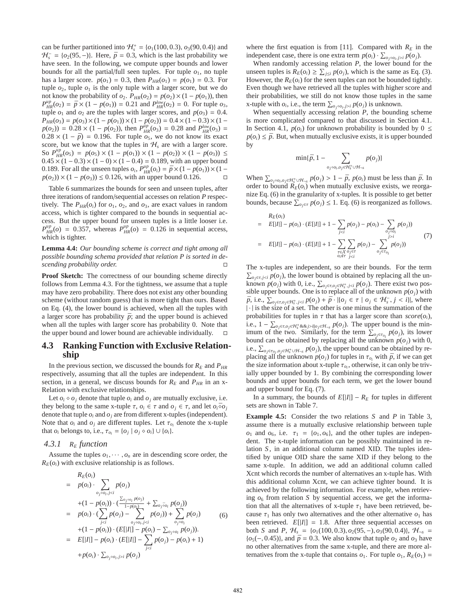can be further partitioned into  $H_s^+ = \{o_1(100, 0.3), o_3(90, 0.4)\}\$ and  $H_s^- = \{o_2(95, -)\}\.$  Here,  $\bar{p} = 0.3$ , which is the last probability we have seen. In the following, we compute upper bounds and lower bounds for all the partial/full seen tuples. For tuple  $o<sub>1</sub>$ , no tuple has a larger score.  $p(o_1) = 0.3$ , then  $P_{HR}(o_1) = p(o_1) = 0.3$ . For tuple  $o_2$ , tuple  $o_1$  is the only tuple with a larger score, but we do not know the probability of  $o_2$ .  $P_{HR}(o_2) = p(o_2) \times (1 - p(o_1))$ , then  $P_{HR}^{\mu p}(o_2) = \bar{p} \times (1 - p(o_1)) = 0.21$  and  $P_{HR}^{\mu w}(o_2) = 0$ . For tuple  $o_3$ , tuple  $o_1$  and  $o_2$  are the tuples with larger scores, and  $p(o_3) = 0.4$ .  $P_{HR}(o_3) = p(o_3) \times (1 - p(o_1)) \times (1 - p(o_2)) = 0.4 \times (1 - 0.3) \times (1$  $p(o_2)$ ) = 0.28 × (1 –  $p(o_2)$ ), then  $P_{HR}^{up}(o_3)$  = 0.28 and  $P_{HR}^{low}(o_3)$  =  $0.28 \times (1 - \bar{p}) = 0.196$ . For tuple  $o_5$ , we do not know its exact score, but we know that the tuples in  $H_s$  are with a larger score. So  $P_{HR}^{up}(o_5) = p(o_5) \times (1 - p(o_1)) \times (1 - p(o_2)) \times (1 - p(o_3)) \le$  $0.45 \times (1 - 0.3) \times (1 - 0) \times (1 - 0.4) = 0.189$ , with an upper bound 0.189. For all the unseen tuples  $o_i$ ,  $P_{HR}^{up}(o_i) = \bar{p} \times (1 - \rho(o_1)) \times (1 - \rho(o_1))$  $p(o_2)$ ) × (1 –  $p(o_3)$ ) ≤ 0.126, with an upper bound 0.126.

Table 6 summarizes the bounds for seen and unseen tuples, after three iterations of random/sequential accesses on relation *P* respectively. The  $P_{HR}(o_i)$  for  $o_1$ ,  $o_2$ , and  $o_3$ , are exact values in random access, which is tighter compared to the bounds in sequential access. But the upper bound for unseen tuples is a little looser i.e.  $P_{HR}^{\mu p}(o) = 0.357$ , whereas  $P_{HR}^{\mu p}(o) = 0.126$  in sequential access, which is tighter.

**Lemma 4.4:** *Our bounding scheme is correct and tight among all possible bounding schema provided that relation P is sorted in descending probability order.*

**Proof Sketch:** The correctness of our bounding scheme directly follows from Lemma 4.3. For the tightness, we assume that a tuple may have zero probability. There does not exist any other bounding scheme (without random guess) that is more tight than ours. Based on Eq. (4), the lower bound is achieved, when all the tuples with a larger score has probability  $\bar{p}$ ; and the upper bound is achieved when all the tuples with larger score has probability 0. Note that the upper bound and lower bound are achievable individually.  $\square$ 

# **4.3 Ranking Function with Exclusive Relationship**

In the previous section, we discussed the bounds for  $R_E$  and  $P_{HR}$ respectively, assuming that all the tuples are independent. In this section, in a general, we discuss bounds for  $R_E$  and  $P_{HR}$  in an x-Relation with exclusive relationships.

Let  $o_i \diamond o_j$  denote that tuple  $o_i$  and  $o_j$  are mutually exclusive, i.e. they belong to the same x-tuple  $\tau$ ,  $o_i \in \tau$  and  $o_j \in \tau$ , and let  $o_i \bar{\diamond} o_j$ denote that tuple *o<sup>i</sup>* and *o<sup>j</sup>* are from different x-tuples (independent). Note that  $o_i$  and  $o_j$  are different tuples. Let  $\tau_{o_i}$  denote the x-tuple that  $o_i$  belongs to, i.e.,  $\tau_{o_i} = \{o_j \mid o_j \diamond o_i\} \cup \{o_i\}.$ 

#### *4.3.1 R<sup>E</sup> function*

Assume the tuples  $o_1, \dots, o_n$  are in descending score order, the  $R_E(o_i)$  with exclusive relationship is as follows.

$$
R_{E}(o_{i}) = p(o_{i}) \cdot \sum_{o_{j} \delta o_{i}, j < i} p(o_{j})
$$
  
\n
$$
+ (1 - p(o_{i})) \cdot (\frac{\sum_{o_{j} \delta o_{i}} p(o_{j})}{1 - p(o_{i})} + \sum_{o_{j} \delta o_{i}} p(o_{j}))
$$
  
\n
$$
= p(o_{i}) \cdot (\sum_{j < i} p(o_{j}) - \sum_{o_{j} \delta o_{i}, j < i} p(o_{j})) + \sum_{o_{j} \delta o_{i}} p(o_{j})
$$
  
\n
$$
+ (1 - p(o_{i})) \cdot (E[|I|] - p(o_{i}) - \sum_{o_{j} \delta o_{i}} p(o_{j})).
$$
  
\n
$$
= E[|I|] - p(o_{i}) \cdot (E[|I|] - \sum_{j < i} p(o_{j}) - p(o_{i}) + 1)
$$
  
\n
$$
+ p(o_{i}) \cdot \sum_{o_{j} \delta o_{i}, j > i} p(o_{j})
$$

where the first equation is from [11]. Compared with  $R_E$  in the independent case, there is one extra term  $p(o_i) \cdot \sum_{o_j \circ o_i, j \geq i} p(o_j)$ .

When randomly accessing relation *P*, the lower bound for the unseen tuples is  $R_E(o_i) \geq \sum_{j \leq i} p(o_j)$ , which is the same as Eq. (3). However, the  $R_E(o_i)$  for the seen tuples can not be bounded tightly. Even though we have retrieved all the tuples with higher score and their probabilities, we still do not know those tuples in the same x-tuple with  $o_i$ , i.e., the term  $\sum_{o_j \circ o_i, j > i} p(o_j)$  is unknown.

When sequentially accessing relation *P*, the bounding scheme is more complicated compared to that discussed in Section 4.1. In Section 4.1,  $p(o_i)$  for unknown probability is bounded by  $0 \leq$  $p(o_i) \leq \bar{p}$ . But, when mutually exclusive exists, it is upper bounded by

$$
\min\{\bar{p}, 1 - \sum_{o_j \diamond o_i, o_j \in \mathcal{H}_s^+ \cup \mathcal{H}_{\neg s}} p(o_j)\}\
$$

When  $\sum_{o_j \circ o_i, o_j \in H_s^+ \cup H_{\neg s}} p(o_j) > 1 - \bar{p}$ ,  $p(o_i)$  must be less than  $\bar{p}$ . In order to bound  $R_E(o_i)$  when mutually exclusive exists, we reorganize Eq. (6) in the granularity of x-tuples. It is possible to get better bounds, because  $\sum_{o_j \in \tau} p(o_j) \leq 1$ . Eq. (6) is reorganized as follows.

$$
R_E(o_i)
$$
  
=  $E[|I|] - p(o_i) \cdot (E[|I|] + 1 - \sum_{j < i} p(o_j) - p(o_i) - \sum_{o_j \circ o_i} p(o_j))$   
=  $E[|I|] - p(o_i) \cdot (E[|I|] + 1 - \sum_{\substack{\tau \in X \\ o_j \in \tau}} \sum_{o_j \in \tau} p(o_j) - \sum_{o_j \in \tau o_i} p(o_j))$  (7)

The x-tuples are independent, so are their bounds. For the term  $\sum_{o_j \in \tau, j < i} p(o_j)$ , the lower bound is obtained by replacing all the unknown  $p(o_j)$  with 0, i.e.,  $\sum_{o_j \in \tau, o_j \in \mathcal{H}_s^+, j < i} p(o_j)$ . There exist two possible upper bounds. One is to replace all of the unknown  $p(o_j)$  with  $\bar{p}$ , i.e.,  $\sum_{o_j \in \tau, o_j \in \mathcal{H}_s^+, j < i} p(o_j) + \bar{p} \cdot | \{o_j \in \tau \mid o_j \in \mathcal{H}_s^-, j < i \}$ , where | · | is the size of a set. The other is one minus the summation of the probabilities for tuples in  $\tau$  that has a larger score than  $score(o_i)$ , i.e.,  $1 - \sum_{o_j \in \tau, o_j \in \mathcal{H}_s^+} \&\&j>i|o_j \in \mathcal{H}_{\neg s}} p(o_j)$ . The upper bound is the minimum of the two. Similarly, for the term  $\sum_{o_j \in \tau_{o_i}} p(o_j)$ , its lower bound can be obtained by replacing all the unknown  $p(o_j)$  with 0, i.e.,  $\sum_{o_j \in \tau_{o_j}, o_j \in \mathcal{H}_s^+ \cup \mathcal{H}_{\neg s}} p(o_j)$ , the upper bound can be obtained by replacing all the unknown  $p(o_j)$  for tuples in  $\tau_{o_i}$  with  $\bar{p}$ , if we can get the size information about x-tuple  $\tau_{o_i}$ , otherwise, it can only be trivially upper bounded by 1. By combining the corresponding lower bounds and upper bounds for each term, we get the lower bound and upper bound for Eq. (7).

In a summary, the bounds of  $E[|I|] - R_E$  for tuples in different sets are shown in Table 7.

**Example 4.5:** Consider the two relations *S* and *P* in Table 3, assume there is a mutually exclusive relationship between tuple *o*<sub>1</sub> and *o*<sub>6</sub>, i.e.  $\tau_1 = \{o_1, o_6\}$ , and the other tuples are independent. The x-tuple information can be possibly maintained in relation *S* , in an additional column named XID. The tuples identified by unique OID share the same XID if they belong to the same x-tuple. In addition, we add an additional column called Xcnt which records the number of alternatives an x-tuple has. With this additional column Xcnt, we can achieve tighter bound. It is achieved by the following information. For example, when retrieving  $o_6$  from relation *S* by sequential access, we get the information that all the alternatives of x-tuple  $\tau_1$  have been retrieved, because  $\tau_1$  has only two alternatives and the other alternative  $o_1$  has been retrieved.  $E[|I|] = 1.8$ . After three sequential accesses on both *S* and *P*,  $H_s = \{o_1(100, 0.3), o_2(95, -), o_3(90, 0.4)\}, H_{-s}$  ${o_5(-, 0.45)}$ , and  $\bar{p} = 0.3$ . We also know that tuple  $o_2$  and  $o_3$  have no other alternatives from the same x-tuple, and there are more alternatives from the x-tuple that contains  $o_1$ . For tuple  $o_1$ ,  $R_E(o_1)$  =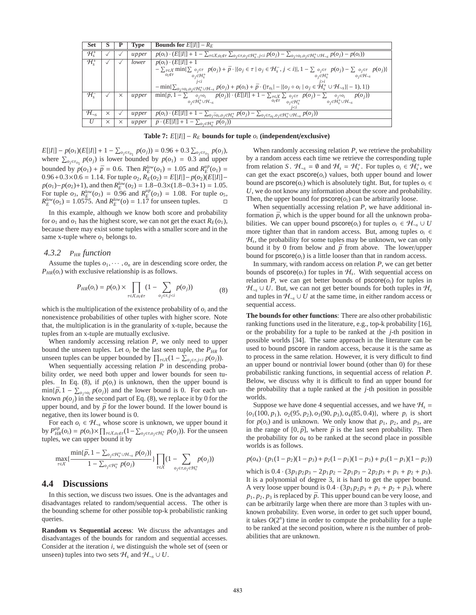| <b>Set</b>                | S        |              | Type  | <b>Bounds for</b> $E[ I ] - R_E$                                                                                                                                                                   |
|---------------------------|----------|--------------|-------|----------------------------------------------------------------------------------------------------------------------------------------------------------------------------------------------------|
| $\mathcal{H}_{\cdot}^{+}$ |          |              | upper | $\overline{p(o_i)\cdot (E[ I ]+1-\sum_{\tau\in X,o_i\notin \tau}\sum_{o_j\in \tau,o_j\in \mathcal{H}_s^+, j$                                                                                       |
| $\mathcal{H}_{\cdot}^{+}$ |          |              | lower | $p(o_i) \cdot (E[ I ] + 1)$                                                                                                                                                                        |
|                           |          |              |       | $-\sum_{\tau\in\mathcal{X}}\min\{\sum_{o_j\in\tau}p(o_j)+\bar{p}\cdot \{o_j\in\tau\mid o_j\in\mathcal{H}_s^-, j$                                                                                   |
|                           |          |              |       | $o_i \notin \tau$<br>$o_i \in \mathcal{H}_s^+$ $o_i \in \mathcal{H}_{\neg s}$<br>$o_i \in \mathcal{H}_s^+$                                                                                         |
|                           |          |              |       |                                                                                                                                                                                                    |
|                           |          |              |       | $-\min\{\sum_{o_j\circ o_i,o_j\in\mathcal{H}_s^+\cup\mathcal{H}_{\neg s}} p(o_j)+p(o_i)+\bar{p}\cdot( \tau_{o_i} - \{o_j\diamond o_i\mid o_j\in\mathcal{H}_s^+\cup\mathcal{H}_{\neg s}\} -1),1\})$ |
| $\mathcal{H}_{s}^{-}$     |          | $\times$     | upper | $\min\{\bar{p}, 1-\sum o_j \circ o_i \mid p(o_j)\}\cdot (E[ I ]+1-\sum_{\tau\in\mathcal{X}}\sum o_j \in \tau \mid p(o_j)-\sum o_j \circ o_i \mid p(o_j))$                                          |
|                           |          |              |       | $o_i \notin \tau$<br>$o_i \in \mathcal{H}_s^+ \cup \mathcal{H}_{-s}$<br>$o_i \in H_s^+ \cup H_{\neg s}$<br>$o_i \in \mathcal{H}_s^+$                                                               |
|                           |          |              |       |                                                                                                                                                                                                    |
| $\mathcal{H}_{\neg s}$    | $\times$ | $\checkmark$ | upper | $\overline{p(o_i)\cdot (E[ I ]+1-\sum_{o_j\bar{o}o_i,o_j\in\mathcal{H}^+_s}p(o_j)-\sum_{o_j\in\tau_{o_i,o_j\in\mathcal{H}^+_s\cup\mathcal{H}_{\neg s}}p(o_j))}$                                    |
| U                         | $\times$ | $\times$     | upper | $\overline{\overline{p} \cdot (E[ I ] + 1 - \sum_{o_j \in \mathcal{H}_s^+} p(o_j))}$                                                                                                               |

**Table 7:**  $E[|I|] - R_E$  **bounds** for tuple  $o_i$  (independent/exclusive)

 $E[|I|] - p(o_1)(E[|I|] + 1 - \sum_{o_j \in \tau_{o_1}} p(o_j)) = 0.96 + 0.3 \sum_{o_j \in \tau_{o_1}} p(o_j),$ where  $\sum_{o_j \in \tau_{o_1}} p(o_j)$  is lower bounded by  $p(o_1) = 0.3$  and upper bounded by  $p(o_1) + \bar{p} = 0.6$ . Then  $R_E^{low}(o_1) = 1.05$  and  $R_E^{up}(o_1) =$ 0.96+0.3×0.6 = 1.14. For tuple  $o_2$ ,  $R_E^{\text{T}}(o_2) = E[|I|] - p(o_2)(E[|I|]$  $p(o_1) - p(o_2) + 1$ , and then  $R_E^{low}(o_2) = 1.8 - 0.3 \times (1.8 - 0.3 + 1) = 1.05$ . For tuple  $o_3$ ,  $R_E^{low}(o_3) = 0.96$  and  $R_E^{up}(o_3) = 1.08$ . For tuple  $o_5$ ,  $R_E^{low}(\sigma_5) = 1.0575$ . And  $R_E^{low}(\sigma) = 1.17$  for unseen tuples.

In this example, although we know both score and probability for  $o_1$  and  $o_1$  has the highest score, we can not get the exact  $R_E(o_1)$ , because there may exist some tuples with a smaller score and in the same x-tuple where  $o_1$  belongs to.

# *4.3.2 PHR function*

Assume the tuples  $o_1, \dots, o_n$  are in descending score order, the  $P_{HR}(o_i)$  with exclusive relationship is as follows.

$$
P_{HR}(o_i) = p(o_i) \times \prod_{\tau \in \chi, o_i \notin \tau} (1 - \sum_{o_j \in \tau, j < i} p(o_j)) \tag{8}
$$

which is the multiplication of the existence probability of  $o_i$  and the nonexistence probabilities of other tuples with higher score. Note that, the multiplication is in the granularity of x-tuple, because the tuples from an x-tuple are mutually exclusive.

When randomly accessing relation *P*, we only need to upper bound the unseen tuples. Let  $o_i$  be the last seen tuple, the  $P_{HR}$  for unseen tuples can be upper bounded by  $\prod_{\tau \in \mathcal{X}} (1 - \sum_{\sigma_j \in \tau, j < i} p(\sigma_j)).$ 

When sequentially accessing relation *P* in descending probability order, we need both upper and lower bounds for seen tuples. In Eq. (8), if  $p(o_i)$  is unknown, then the upper bound is  $\min{\{\bar{p}, 1 - \sum_{o_j \circ o_i} p(o_j)\}}$  and the lower bound is 0. For each unknown  $p(o_i)$  in the second part of Eq. (8), we replace it by 0 for the upper bound, and by  $\bar{p}$  for the lower bound. If the lower bound is negative, then its lower bound is 0.

For each  $o_i \in H_{\neg s}$  whose score is unknown, we upper bound it by  $P_{HR}^{\mu p}(o_i) = p(o_i) \times \prod_{\tau \in \mathcal{X}, o_i \notin \tau} (1 - \sum_{o_j \in \tau, o_j \in \mathcal{H}_{\tau}^+} p(o_j))$ . For the unseen tuples, we can upper bound it by

$$
\max_{\tau \in X} \{ \frac{\min\{\bar{p}, 1 - \sum_{o_j \in \mathcal{H}_s^+ \cup \mathcal{H}_{\neg s}} p(o_j)\}}{1 - \sum_{o_j \in \mathcal{H}_s^+} p(o_j)} \} \prod_{\tau \in X} (1 - \sum_{o_j \in \tau, o_j \in \mathcal{H}_s^+} p(o_j))
$$

### **4.4 Discussions**

In this section, we discuss two issues. One is the advantages and disadvantages related to random/sequential access. The other is the bounding scheme for other possible top-k probabilistic ranking queries.

**Random vs Sequential access**: We discuss the advantages and disadvantages of the bounds for random and sequential accesses. Consider at the iteration *i*, we distinguish the whole set of (seen or unseen) tuples into two sets  $\mathcal{H}_s$  and  $\mathcal{H}_{\neg s} \cup U$ .

When randomly accessing relation *P*, we retrieve the probability by a random access each time we retrieve the corresponding tuple from relation *S*.  $\mathcal{H}_{\neg s} = \emptyset$  and  $\mathcal{H}_s = \mathcal{H}_s^+$ . For tuples  $o_i \in \mathcal{H}_s^+$ , we can get the exact  $pscore(o_i)$  values, both upper bound and lower bound are  $\text{pscore}(o_i)$  which is absolutely tight. But, for tuples  $o_i \in$ *U*, we do not know any information about the score and probability. Then, the upper bound for  $pscore(o_i)$  can be arbitrarily loose.

When sequentially accessing relation *P*, we have additional information  $\bar{p}$ , which is the upper bound for all the unknown probabilities. We can upper bound  $\text{pscore}(o_i)$  for tuples  $o_i \in \mathcal{H}_{\text{neg}} \cup U$ more tighter than that in random access. But, among tuples  $o_i \in$ H*<sup>s</sup>* , the probability for some tuples may be unknown, we can only bound it by 0 from below and  $\bar{p}$  from above. The lower/upper bound for  $\text{pscore}(o_i)$  is a little looser than that in random access.

In summary, with random access on relation *P*, we can get better bounds of  $\text{pscore}(o_i)$  for tuples in  $H_s$ . With sequential access on relation *P*, we can get better bounds of  $pscore(o_i)$  for tuples in  $\mathcal{H}_{\neg s} \cup U$ . But, we can not get better bounds for both tuples in  $\mathcal{H}_s$ and tuples in  $H_{\neg s} \cup U$  at the same time, in either random access or sequential access.

**The bounds for other functions**: There are also other probabilistic ranking functions used in the literature, e.g., top-k probability [16], or the probability for a tuple to be ranked at the *j*-th position in possible worlds [34]. The same approach in the literature can be used to bound pscore in random access, because it is the same as to process in the same relation. However, it is very difficult to find an upper bound or nontrivial lower bound (other than 0) for these probabilistic ranking functions, in sequential access of relation *P*. Below, we discuss why it is difficult to find an upper bound for the probability that a tuple ranked at the *j*-th position in possible worlds.

Suppose we have done 4 sequential accesses, and we have  $H<sub>s</sub>$  =  $\{o_1(100, p_1), o_2(95, p_2), o_3(90, p_3), o_4(85, 0.4)\}$ , where  $p_i$  is short for  $p(o_i)$  and is unknown. We only know that  $p_1$ ,  $p_2$ , and  $p_3$ , are in the range of  $[0, \bar{p}]$ , where  $\bar{p}$  is the last seen probability. Then the probability for  $o_4$  to be ranked at the second place in possible worlds is as follows.

$$
p(o_4) \cdot (p_1(1-p_2)(1-p_3) + p_2(1-p_1)(1-p_3) + p_3(1-p_1)(1-p_2))
$$

which is  $0.4 \cdot (3p_1p_2p_3 - 2p_1p_2 - 2p_1p_3 - 2p_2p_3 + p_1 + p_2 + p_3)$ . It is a polynomial of degree 3, it is hard to get the upper bound. A very loose upper bound is  $0.4 \cdot (3p_1p_2p_3 + p_1 + p_2 + p_3)$ , where  $p_1, p_2, p_3$  is replaced by  $\bar{p}$ . This upper bound can be very loose, and can be arbitrarily large when there are more than 3 tuples with unknown probability. Even worse, in order to get such upper bound, it takes  $O(2^n)$  time in order to compute the probability for a tuple to be ranked at the second position, where *n* is the number of probabilities that are unknown.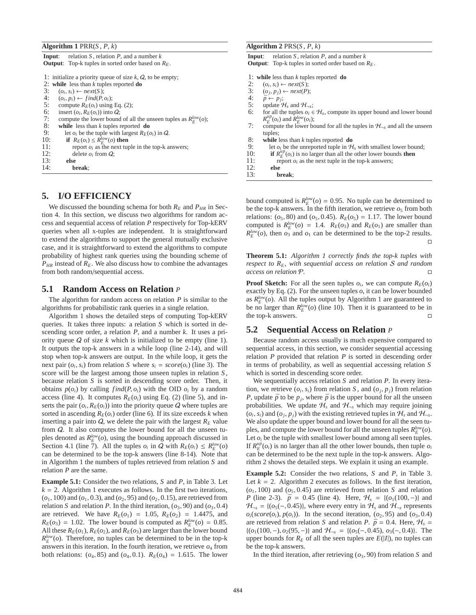| <b>Algorithm 1</b> PRR $(S, P, k)$ |  |  |  |  |  |
|------------------------------------|--|--|--|--|--|
|------------------------------------|--|--|--|--|--|

| relation S, relation P, and a number $k$<br>Input:                         |
|----------------------------------------------------------------------------|
| <b>Output</b> : Top-k tuples in sorted order based on $R_F$ .              |
|                                                                            |
| 1: initialize a priority queue of size $k$ , $Q$ , to be empty;            |
| 2: while less than $k$ tuples reported do                                  |
| 3:<br>$(o_i, s_i) \leftarrow next(S);$                                     |
| $(o_i, p_i) \leftarrow find(P, o_i);$                                      |
| $rac{4}{5}$<br>compute $R_F(o_i)$ using Eq. (2);                           |
| 6:<br>insert $(o_i, R_F(o_i))$ into Q;                                     |
| 7:<br>compute the lower bound of all the unseen tuples as $R_F^{low}(o)$ ; |
| 8:<br>while less than $k$ tuples reported $\bf{do}$                        |
| 9:<br>let $o_i$ be the tuple with largest $R_E(o_i)$ in Q.                 |
| if $R_E(o_i) \leq R_E^{low}(o)$ then<br>10:                                |
| 11:<br>report $o_i$ as the next tuple in the top-k answers;                |
| 12:<br>delete $o_i$ from $Q$ ;                                             |
| 13:<br>else                                                                |
| 14:<br>break:                                                              |

# **5. I/O EFFICIENCY**

We discussed the bounding schema for both  $R_E$  and  $P_{HR}$  in Section 4. In this section, we discuss two algorithms for random access and sequential access of relation *P* respectively for Top-kERV queries when all x-tuples are independent. It is straightforward to extend the algorithms to support the general mutually exclusive case, and it is straightforward to extend the algorithms to compute probability of highest rank queries using the bounding scheme of  $P_{HR}$  instead of  $R_E$ . We also discuss how to combine the advantages from both random/sequential access.

#### **5.1 Random Access on Relation** *P*

The algorithm for random access on relation *P* is similar to the algorithms for probabilistic rank queries in a single relation.

Algorithm 1 shows the detailed steps of computing Top-kERV queries. It takes three inputs: a relation *S* which is sorted in descending score order, a relation *P*, and a number *k*. It uses a priority queue Q of size *k* which is initialized to be empty (line 1). It outputs the top-k answers in a while loop (line 2-14), and will stop when top-k answers are output. In the while loop, it gets the next pair  $(o_i, s_i)$  from relation *S* where  $s_i = score(o_i)$  (line 3). The score will be the largest among those unseen tuples in relation *S* , because relation *S* is sorted in descending score order. Then, it obtains  $p(o_i)$  by calling  $find(P, o_i)$  with the OID  $o_i$  by a random access (line 4). It computes  $R_E(o_i)$  using Eq. (2) (line 5), and inserts the pair  $(o_i, R_E(o_i))$  into the priority queue  $Q$  where tuples are sorted in ascending  $R_E(o_i)$  order (line 6). If its size exceeds *k* when inserting a pair into  $Q$ , we delete the pair with the largest  $R_E$  value from Q. It also computes the lower bound for all the unseen tuples denoted as  $R_E^{low}(o)$ , using the bounding approach discussed in Section 4.1 (line 7). All the tuples  $o_i$  in Q with  $R_E(o_i) \leq R_E^{low}(o)$ can be determined to be the top-k answers (line 8-14). Note that in Algorithm 1 the numbers of tuples retrieved from relation *S* and relation *P* are the same.

**Example 5.1:** Consider the two relations, *S* and *P*, in Table 3. Let  $k = 2$ . Algorithm 1 executes as follows. In the first two iterations,  $(o_1, 100)$  and  $(o_1, 0.3)$ , and  $(o_2, 95)$  and  $(o_2, 0.15)$ , are retrieved from relation *S* and relation *P*. In the third iteration,  $(o_3, 90)$  and  $(o_3, 0.4)$ are retrieved. We have  $R_E(o_1) = 1.05$ ,  $R_E(o_2) = 1.4475$ , and  $R_E(o_3) = 1.02$ . The lower bound is computed as  $R_E^{low}(o) = 0.85$ . All these  $R_E(o_1)$ ,  $R_E(o_2)$ , and  $R_E(o_3)$  are larger than the lower bound  $R_E^{low}(o)$ . Therefore, no tuples can be determined to be in the top-k answers in this iteration. In the fourth iteration, we retrieve  $o_4$  from both relations:  $(o_4, 85)$  and  $(o_4, 0.1)$ .  $R_E(o_4) = 1.615$ . The lower

#### **Algorithm 2**  $PRS(S, P, k)$

**Input**: relation *S*, relation *P*, and a number  $k$ **Output**: Top-k tuples in sorted order based on *RE*.

- 1: **while** less than *k* tuples reported **do**<br>2.  $(a, s) \leftarrow next(S)$
- 2:  $(o_i, s_i) \leftarrow next(S);$
- 3:  $(o_j, p_j) \leftarrow next(P);$
- 4:  $\bar{p} \leftarrow p_j$ ;
- 5: update  $\mathcal{H}_s$  and  $\mathcal{H}_{\neg s}$ ;
- 6: for all the tuples  $o_i \in H_s$ , compute its upper bound and lower bound  $R_E^{up}(o_i)$  and  $R_E^{low}(o_i)$ ;
- 7: compute the lower bound for all the tuples in  $H_{\neg s}$  and all the unseen tuples;
- 8: **while** less than *k* tuples reported **do**
- 9: let  $o_i$  be the unreported tuple in  $H_s$  with smallest lower bound;<br>10: **if**  $R_{F}^{up}(o_i)$  is no larger than all the other lower bounds **then**
- 10: **if**  $R_E^{up}(o_i)$  is no larger than all the other lower bounds **then**
- 11: report  $o_i$  as the next tuple in the top-k answers;<br>12: **else**

12: **else**

13: **break**;

bound computed is  $R_E^{low}(o) = 0.95$ . No tuple can be determined to be the top-k answers. In the fifth iteration, we retrieve  $o<sub>5</sub>$  from both relations: ( $o_5$ , 80) and ( $o_5$ , 0.45).  $R_E(o_5) = 1.17$ . The lower bound computed is  $R_E^{low}(o) = 1.4$ .  $R_E(o_3)$  and  $R_E(o_1)$  are smaller than  $R_E^{low}(o)$ , then  $o_3$  and  $o_1$  can be determined to be the top-2 results.  $\Box$ 

**Theorem 5.1:** *Algorithm 1 correctly finds the top-k tuples with respect to RE, with sequential access on relation* S *and random access on relation* P*.*

**Proof Sketch:** For all the seen tuples  $o_i$ , we can compute  $R_E(o_i)$ exactly by Eq. (2). For the unseen tuples *o*, it can be lower bounded as  $R_E^{low}(o)$ . All the tuples output by Algorithm 1 are guaranteed to be no larger than  $R_E^{low}(o)$  (line 10). Then it is guaranteed to be in the top-k answers.

### **5.2 Sequential Access on Relation** *P*

Because random access usually is much expensive compared to sequential access, in this section, we consider sequential accessing relation *P* provided that relation *P* is sorted in descending order in terms of probability, as well as sequential accessing relation *S* which is sorted in descending score order.

We sequentially access relation *S* and relation *P*. In every iteration, we retrieve  $(o_i, s_i)$  from relation *S*, and  $(o_j, p_j)$  from relation *P*, update  $\bar{p}$  to be  $p_j$ , where  $\bar{p}$  is the upper bound for all the unseen probabilities. We update  $H_s$  and  $H_{\neg s}$  which may require joining  $(o_i, s_i)$  and  $(o_j, p_j)$  with the existing retrieved tuples in  $H_s$  and  $H_{\neg s}$ . We also update the upper bound and lower bound for all the seen tuples, and compute the lower bound for all the unseen tuples  $R_E^{low}(o)$ . Let  $o_i$  be the tuple with smallest lower bound among all seen tuples. If  $R_E^{\mu p}(o_i)$  is no larger than all the other lower bounds, then tuple  $o_i$ can be determined to be the next tuple in the top-k answers. Algorithm 2 shows the detailed steps. We explain it using an example.

**Example 5.2:** Consider the two relations, *S* and *P*, in Table 3. Let  $k = 2$ . Algorithm 2 executes as follows. In the first iteration,  $(o<sub>1</sub>, 100)$  and  $(o<sub>5</sub>, 0.45)$  are retrieved from relation *S* and relation *P* (line 2-3).  $\bar{p} = 0.45$  (line 4). Here,  $\mathcal{H}_s = \{(o_1(100, -))\}$  and  $H_{\neg s} = \{ (o_5(-, 0.45)) \}$ , where every entry in  $H_s$  and  $H_{\neg s}$  represents  $o_i(\text{score}(o_i), p(o_i))$ . In the second iteration,  $(o_2, 95)$  and  $(o_3, 0.4)$ are retrieved from relation *S* and relation *P*.  $\bar{p} = 0.4$ . Here,  $\mathcal{H}_s =$ {(*o*1(100, −), *o*2(95, −)} and H<sup>¬</sup>*<sup>s</sup>* = {(*o*5(−, 0.45), *o*3(−, 0.4)}. The upper bounds for  $R_E$  of all the seen tuples are  $E(|I|)$ , no tuples can be the top-k answers.

In the third iteration, after retrieving  $(o_3, 90)$  from relation *S* and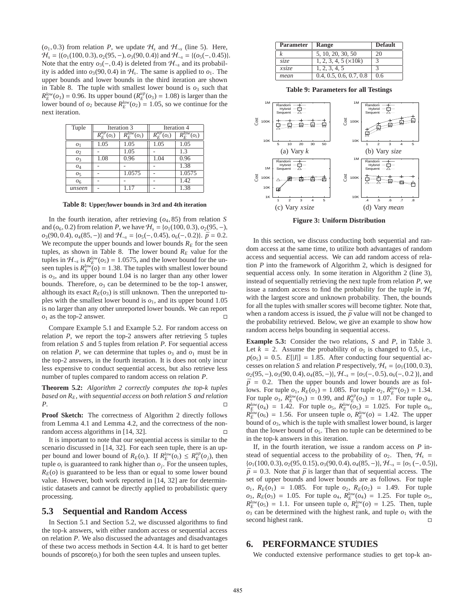$(o_1, 0.3)$  from relation *P*, we update  $H_s$  and  $H_{\neg s}$  (line 5). Here,  $H_s = \{ (o_1(100, 0.3), o_2(95, -), o_3(90, 0.4) \}$  and  $H_{\neg s} = \{ (o_5(-, 0.45)) \}$ . Note that the entry  $o_3(-, 0.4)$  is deleted from  $\mathcal{H}_{\neg s}$  and its probability is added into  $o_3(90, 0.4)$  in  $H_s$ . The same is applied to  $o_1$ . The upper bounds and lower bounds in the third iteration are shown in Table 8. The tuple with smallest lower bound is  $o_3$  such that  $R_E^{low}(o_3) = 0.96$ . Its upper bound  $(R_E^{up}(o_3) = 1.08)$  is larger than the lower bound of  $o_2$  because  $R_E^{low}(o_2) = 1.05$ , so we continue for the next iteration.

| Tuple          | Iteration 3                                |                               |                              | Iteration 4                   |
|----------------|--------------------------------------------|-------------------------------|------------------------------|-------------------------------|
|                | $R_{\scriptscriptstyle P}^{up}$<br>$(o_i)$ | $\overline{R_{E}^{low}(o_i)}$ | $\overline{R_{E}^{up}(o_i)}$ | $\overline{R}_{F}^{low}(o_i)$ |
| O <sub>1</sub> | 1.05                                       | 1.05                          | 1.05                         | 1.05                          |
| 02             |                                            | 1.05                          |                              | 1.3                           |
| O <sub>3</sub> | 1.08                                       | 0.96                          | 1.04                         | 0.96                          |
| 04             |                                            |                               |                              | $1.\overline{38}$             |
| O <sub>5</sub> |                                            | 1.0575                        |                              | 1.0575                        |
| O <sub>6</sub> |                                            |                               |                              | 1.42                          |
| unseen         |                                            |                               |                              | 1.38                          |

**Table 8: Upper**/**lower bounds in 3rd and 4th iteration**

In the fourth iteration, after retrieving  $(a_4, 85)$  from relation *S* and ( $o_6$ , 0.2) from relation *P*, we have  $H_s = \{o_1(100, 0.3), o_2(95, -),\}$  $o_3(90, 0.4), o_4(85, -)$ } and  $H_{\neg s} = \{o_5(-, 0.45), o_6(-, 0.2)\}\$ .  $\bar{p} = 0.2$ . We recompute the upper bounds and lower bounds  $R_E$  for the seen tuples, as shown in Table 8. The lower bound  $R_E$  value for the tuples in  $\mathcal{H}_{\neg s}$  is  $R_E^{low}(o_5) = 1.0575$ , and the lower bound for the unseen tuples is  $R_E^{low}(\theta) = 1.38$ . The tuples with smallest lower bound is  $o_3$ , and its upper bound 1.04 is no larger than any other lower bounds. Therefore,  $o_3$  can be determined to be the top-1 answer, although its exact  $R_E(o_3)$  is still unknown. Then the unreported tuples with the smallest lower bound is  $o<sub>1</sub>$ , and its upper bound 1.05 is no larger than any other unreported lower bounds. We can report  $o_1$  as the top-2 answer.

Compare Example 5.1 and Example 5.2. For random access on relation *P*, we report the top-2 answers after retrieving 5 tuples from relation *S* and 5 tuples from relation *P*. For sequential access on relation *P*, we can determine that tuples  $\rho_3$  and  $\rho_1$  must be in the top-2 answers, in the fourth iteration. It is does not only incur less expensive to conduct sequential access, but also retrieve less number of tuples compared to random access on relation *P*.

**Theorem 5.2:** *Algorithm 2 correctly computes the top-k tuples based on RE, with sequential access on both relation S and relation P.*

**Proof Sketch:** The correctness of Algorithm 2 directly follows from Lemma 4.1 and Lemma 4.2, and the correctness of the nonrandom access algorithms in [14, 32].  $\square$ 

It is important to note that our sequential access is similar to the scenario discussed in [14, 32]. For each seen tuple, there is an upper bound and lower bound of  $R_E(o_i)$ . If  $R_E^{\text{low}}(o_i) \leq R_E^{\text{up}}(o_j)$ , then tuple  $o_i$  is guaranteed to rank higher than  $o_j$ . For the unseen tuples,  $R_E$ ( $o$ ) is guaranteed to be less than or equal to some lower bound value. However, both work reported in [14, 32] are for deterministic datasets and cannot be directly applied to probabilistic query processing.

### **5.3 Sequential and Random Access**

In Section 5.1 and Section 5.2, we discussed algorithms to find the top-k answers, with either random access or sequential access on relation *P*. We also discussed the advantages and disadvantages of these two access methods in Section 4.4. It is hard to get better bounds of  $\text{pscore}(o_i)$  for both the seen tuples and unseen tuples.

| <b>Parameter</b> | <b>Range</b>               | <b>Default</b> |
|------------------|----------------------------|----------------|
|                  | 5, 10, 20, 30, 50          | 20             |
| size             | $1, 2, 3, 4, 5 \times 10k$ |                |
| xsize            | 1, 2, 3, 4, 5              | 3              |
| mean             | 0.4, 0.5, 0.6, 0.7, 0.8    | 0.6            |

**Table 9: Parameters for all Testings**



**Figure 3: Uniform Distribution**

In this section, we discuss conducting both sequential and random access at the same time, to utilize both advantages of random access and sequential access. We can add random access of relation *P* into the framework of Algorithm 2, which is designed for sequential access only. In some iteration in Algorithm 2 (line 3), instead of sequentially retrieving the next tuple from relation *P*, we issue a random access to find the probability for the tuple in  $\mathcal{H}_s$ with the largest score and unknown probability. Then, the bounds for all the tuples with smaller scores will become tighter. Note that, when a random access is issued, the  $\bar{p}$  value will not be changed to the probability retrieved. Below, we give an example to show how random access helps bounding in sequential access.

**Example 5.3:** Consider the two relations, *S* and *P*, in Table 3. Let  $k = 2$ . Assume the probability of  $o<sub>5</sub>$  is changed to 0.5, i.e.,  $p(o_5) = 0.5$ .  $E[|I|] = 1.85$ . After conducting four sequential accesses on relation *S* and relation *P* respectively,  $H_s = \{o_1(100, 0.3),\}$ *o*<sub>2</sub>(95, −), *o*<sub>3</sub>(90, 0.4), *o*<sub>4</sub>(85, −)}, *H*<sub>-*s*</sub> = {*o*<sub>5</sub>(−, 0.5), *o*<sub>6</sub>(−, 0.2)}, and  $\bar{p}$  = 0.2. Then the upper bounds and lower bounds are as follows. For tuple  $o_1$ ,  $R_E(o_1) = 1.085$ . For tuple  $o_2$ ,  $R_E^{low}(o_2) = 1.34$ . For tuple  $o_3$ ,  $R_E^{low}(o_3) = 0.99$ , and  $R_E^{up}(o_3) = 1.07$ . For tuple  $o_4$ ,  $R_E^{low}(o_4) = 1.42$ . For tuple  $o_5$ ,  $R_E^{low}(o_5) = 1.025$ . For tuple  $o_6$ ,  $R_E^{\text{low}}(o_6) = 1.56$ . For unseen tuple *o*,  $R_E^{\text{low}}(o) = 1.42$ . The upper bound of *o*3, which is the tuple with smallest lower bound, is larger than the lower bound of  $o<sub>5</sub>$ . Then no tuple can be determined to be in the top-k answers in this iteration.

If, in the fourth iteration, we issue a random access on *P* instead of sequential access to the probability of  $o_2$ . Then,  $H_s$  = {*o*1(100, 0.3), *o*2(95, 0.15), *o*3(90, 0.4), *o*4(85, −)}, H<sup>¬</sup>*<sup>s</sup>* = {*o*<sup>5</sup> (−, 0.5)},  $\bar{p}$  = 0.3. Note that  $\bar{p}$  is larger than that of sequential access. The set of upper bounds and lower bounds are as follows. For tuple  $o_1$ ,  $R_E(o_1) = 1.085$ . For tuple  $o_2$ ,  $R_E(o_2) = 1.49$ . For tuple  $o_3$ ,  $R_E(o_3) = 1.05$ . For tuple  $o_4$ ,  $R_E^{low}(o_4) = 1.25$ . For tuple  $o_5$ ,  $R_E^{low}(o_5) = 1.1$ . For unseen tuple  $o$ ,  $R_E^{low}(o) = 1.25$ . Then, tuple  $o_3$  can be determined with the highest rank, and tuple  $o_1$  with the second highest rank.

#### **6. PERFORMANCE STUDIES**

We conducted extensive performance studies to get top-k an-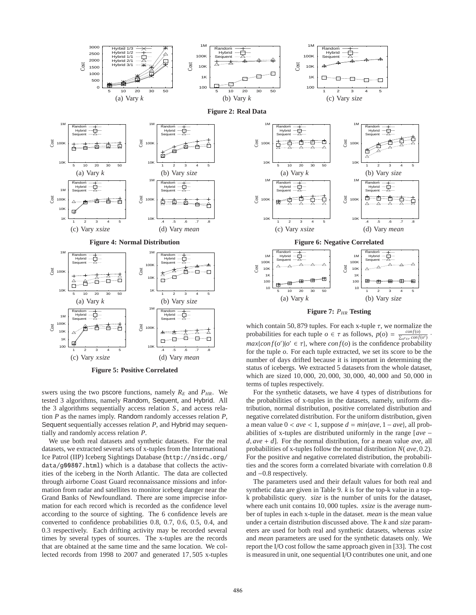

**Figure 5: Positive Correlated**

swers using the two pscore functions, namely  $R_E$  and  $P_{HR}$ . We tested 3 algorithms, namely Random, Sequent, and Hybrid. All the 3 algorithms sequentially access relation *S* , and access relation *P* as the names imply. Random randomly accesses relation *P*, Sequent sequentially accesses relation *P*, and Hybrid may sequentially and randomly access relation *P*.

We use both real datasets and synthetic datasets. For the real datasets, we extracted several sets of x-tuples from the International Ice Patrol (IIP) Iceberg Sightings Database (http://nsidc.org/ data/g00807.html) which is a database that collects the activities of the iceberg in the North Atlantic. The data are collected through airborne Coast Guard reconnaissance missions and information from radar and satellites to monitor iceberg danger near the Grand Banks of Newfoundland. There are some imprecise information for each record which is recorded as the confidence level according to the source of sighting. The 6 confidence levels are converted to confidence probabilities 0.8, 0.7, 0.6, 0.5, 0.4, and 0.3 respectively. Each drifting activity may be recorded several times by several types of sources. The x-tuples are the records that are obtained at the same time and the same location. We collected records from 1998 to 2007 and generated 17, 505 x-tuples



 $\overline{1}$ 

**Figure 7:** *PHR* **Testing**

which contain 50, 879 tuples. For each x-tuple  $\tau$ , we normalize the probabilities for each tuple  $o \in \tau$  as follows,  $p(o) = \frac{conf(o)}{\sum_{o' \in \tau} conf(o')}$ .  $max\{conf(o')|o' \in \tau\}$ , where  $conf(o)$  is the confidence probability for the tuple *o*. For each tuple extracted, we set its score to be the number of days drifted because it is important in determining the status of icebergs. We extracted 5 datasets from the whole dataset, which are sized 10, 000, 20, 000, 30, 000, 40, 000 and 50, 000 in terms of tuples respectively.

For the synthetic datasets, we have 4 types of distributions for the probabilities of x-tuples in the datasets, namely, uniform distribution, normal distribution, positive correlated distribution and negative correlated distribution. For the uniform distribution, given a mean value  $0 < a$ ve  $< 1$ , suppose  $d = min\{ave, 1 - ave\}$ , all probabilities of x-tuples are distributed uniformly in the range [*ave* − *d*, *ave* + *d*]. For the normal distribution, for a mean value *ave*, all probabilities of x-tuples follow the normal distribution *N*( *ave*, 0.2). For the positive and negative correlated distribution, the probabilities and the scores form a correlated bivariate with correlation 0.8 and −0.8 respectively.

The parameters used and their default values for both real and synthetic data are given in Table 9. *k* is for the top-k value in a topk probabilistic query. *size* is the number of units for the dataset, where each unit contains 10, 000 tuples. *xsize* is the average number of tuples in each x-tuple in the dataset. *mean* is the mean value under a certain distribution discussed above. The *k* and *size* parameters are used for both real and synthetic datasets, whereas *xsize* and *mean* parameters are used for the synthetic datasets only. We report the I/O cost follow the same approach given in [33]. The cost is measured in unit, one sequential I/O contributes one unit, and one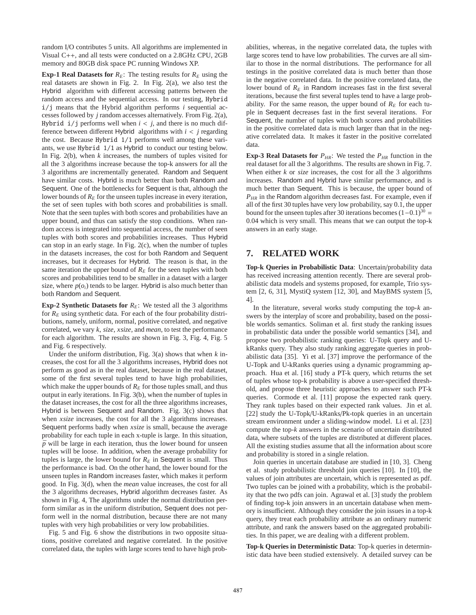random I/O contributes 5 units. All algorithms are implemented in Visual C++, and all tests were conducted on a 2.8GHz CPU, 2GB memory and 80GB disk space PC running Windows XP.

**Exp-1 Real Datasets for**  $R_E$ **: The testing results for**  $R_E$  **using the** real datasets are shown in Fig. 2. In Fig. 2(a), we also test the Hybrid algorithm with different accessing patterns between the random access and the sequential access. In our testing, Hybrid i/j means that the Hybrid algorithm performs *i* sequential accesses followed by *j* random accesses alternatively. From Fig. 2(a), Hybrid  $i/j$  performs well when  $i < j$ , and there is no much difference between different Hybrid algorithms with *i* < *j* regarding the cost. Because Hybrid 1/1 performs well among these variants, we use Hybrid 1/1 as Hybrid to conduct our testing below. In Fig. 2(b), when *k* increases, the numbers of tuples visited for all the 3 algorithms increase because the top-k answers for all the 3 algorithms are incrementally generated. Random and Sequent have similar costs. Hybrid is much better than both Random and Sequent. One of the bottlenecks for Sequent is that, although the lower bounds of  $R<sub>E</sub>$  for the unseen tuples increase in every iteration, the set of seen tuples with both scores and probabilities is small. Note that the seen tuples with both scores and probabilities have an upper bound, and thus can satisfy the stop conditions. When random access is integrated into sequential access, the number of seen tuples with both scores and probabilities increases. Thus Hybrid can stop in an early stage. In Fig. 2(c), when the number of tuples in the datasets increases, the cost for both Random and Sequent increases, but it decreases for Hybrid. The reason is that, in the same iteration the upper bound of  $R<sub>E</sub>$  for the seen tuples with both scores and probabilities tend to be smaller in a dataset with a larger size, where  $p(o_i)$  tends to be larger. Hybrid is also much better than both Random and Sequent.

**Exp-2 Synthetic Datasets for**  $R<sub>E</sub>$ : We tested all the 3 algorithms for  $R_E$  using synthetic data. For each of the four probability distributions, namely, uniform, normal, positive correlated, and negative correlated, we vary *k*, *size*, *xsize*, and *mean*, to test the performance for each algorithm. The results are shown in Fig. 3, Fig. 4, Fig. 5 and Fig. 6 respectively.

Under the uniform distribution, Fig. 3(a) shows that when *k* increases, the cost for all the 3 algorithms increases, Hybrid does not perform as good as in the real dataset, because in the real dataset, some of the first several tuples tend to have high probabilities, which make the upper bounds of  $R<sub>E</sub>$  for those tuples small, and thus output in early iterations. In Fig. 3(b), when the number of tuples in the dataset increases, the cost for all the three algorithms increases, Hybrid is between Sequent and Random. Fig. 3(c) shows that when *xsize* increases, the cost for all the 3 algorithms increases. Sequent performs badly when *xsize* is small, because the average probability for each tuple in each x-tuple is large. In this situation,  $\bar{p}$  will be large in each iteration, thus the lower bound for unseen tuples will be loose. In addition, when the average probability for tuples is large, the lower bound for  $R_E$  in Sequent is small. Thus the performance is bad. On the other hand, the lower bound for the unseen tuples in Random increases faster, which makes it perform good. In Fig. 3(d), when the *mean* value increases, the cost for all the 3 algorithms decreases, Hybrid algorithm decreases faster. As shown in Fig. 4, The algorithms under the normal distribution perform similar as in the uniform distribution, Sequent does not perform well in the normal distribution, because there are not many tuples with very high probabilities or very low probabilities.

Fig. 5 and Fig. 6 show the distributions in two opposite situations, positive correlated and negative correlated. In the positive correlated data, the tuples with large scores tend to have high probabilities, whereas, in the negative correlated data, the tuples with large scores tend to have low probabilities. The curves are all similar to those in the normal distributions. The performance for all testings in the positive correlated data is much better than those in the negative correlated data. In the positive correlated data, the lower bound of  $R_E$  in Random increases fast in the first several iterations, because the first several tuples tend to have a large probability. For the same reason, the upper bound of  $R<sub>E</sub>$  for each tuple in Sequent decreases fast in the first several iterations. For Sequent, the number of tuples with both scores and probabilities in the positive correlated data is much larger than that in the negative correlated data. It makes it faster in the positive correlated data.

**Exp-3 Real Datasets for**  $P_{HR}$ : We tested the  $P_{HR}$  function in the real dataset for all the 3 algorithms. The results are shown in Fig. 7. When either *k* or *size* increases, the cost for all the 3 algorithms increases. Random and Hybrid have similar performance, and is much better than Sequent. This is because, the upper bound of *PHR* in the Random algorithm decreases fast. For example, even if all of the first 30 tuples have very low probability, say 0.1, the upper bound for the unseen tuples after 30 iterations becomes  $(1-0.1)^{30}$  = 0.04 which is very small. This means that we can output the top-k answers in an early stage.

# **7. RELATED WORK**

**Top-k Queries in Probabilistic Data**: Uncertain/probability data has received increasing attention recently. There are several probabilistic data models and systems proposed, for example, Trio system [2, 6, 31], MystiQ system [12, 30], and MayBMS system [5, 4].

In the literature, several works study computing the top-*k* answers by the interplay of score and probability, based on the possible worlds semantics. Soliman et al. first study the ranking issues in probabilistic data under the possible world semantics [34], and propose two probabilistic ranking queries: U-Topk query and UkRanks query. They also study ranking aggregate queries in probabilistic data [35]. Yi et al. [37] improve the performance of the U-Topk and U-kRanks queries using a dynamic programming approach. Hua et al. [16] study a PT-k query, which returns the set of tuples whose top-k probability is above a user-specified threshold, and propose three heuristic approaches to answer such PT-k queries. Cormode et al. [11] propose the expected rank query. They rank tuples based on their expected rank values. Jin et al. [22] study the U-Topk/U-kRanks/Pk-topk queries in an uncertain stream environment under a sliding-window model. Li et al. [23] compute the top-*k* answers in the scenario of uncertain distributed data, where subsets of the tuples are distributed at different places. All the existing studies assume that all the information about score and probability is stored in a single relation.

Join queries in uncertain database are studied in [10, 3]. Cheng et al. study probabilistic threshold join queries [10]. In [10], the values of join attributes are uncertain, which is represented as pdf. Two tuples can be joined with a probability, which is the probability that the two pdfs can join. Agrawal et al. [3] study the problem of finding top-k join answers in an uncertain database when memory is insufficient. Although they consider the join issues in a top-k query, they treat each probability attribute as an ordinary numeric attribute, and rank the answers based on the aggregated probabilities. In this paper, we are dealing with a different problem.

**Top-k Queries in Deterministic Data**: Top-k queries in deterministic data have been studied extensively. A detailed survey can be